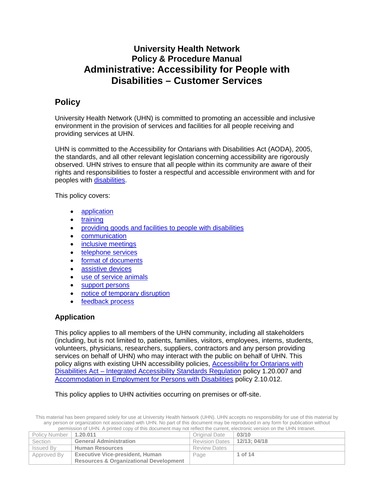## **University Health Network Policy & Procedure Manual Administrative: Accessibility for People with Disabilities – Customer Services**

## **Policy**

University Health Network (UHN) is committed to promoting an accessible and inclusive environment in the provision of services and facilities for all people receiving and providing services at UHN.

UHN is committed to the Accessibility for Ontarians with Disabilities Act (AODA), 2005, the standards, and all other relevant legislation concerning accessibility are rigorously observed. UHN strives to ensure that all people within its community are aware of their rights and responsibilities to foster a respectful and accessible environment with and for peoples with [disabilities.](#page-11-0)

This policy covers:

- [application](#page-0-0)
- **[training](#page-1-0)**
- providing goods and facilities [to people with disabilities](#page-1-1)
- [communication](#page-1-2)
- [inclusive meetings](#page-1-3)
- [telephone services](#page-1-4)
- [format of documents](#page-1-5)
- [assistive devices](#page-2-0)
- [use of service animals](#page-2-1)
- [support persons](#page-7-0)
- [notice of temporary disruption](#page-9-0)
- [feedback process](#page-10-0)

## <span id="page-0-0"></span>**Application**

This policy applies to all members of the UHN community, including all stakeholders (including, but is not limited to, patients, families, visitors, employees, interns, students, volunteers, physicians, researchers, suppliers, contractors and any person providing services on behalf of UHN) who may interact with the public on behalf of UHN. This policy aligns with existing UHN accessibility policies, [Accessibility for Ontarians with](http://documents.uhn.ca/sites/uhn/Policies/Administrative/General_Administration/1.20.007.pdf)  Disabilities Act – [Integrated Accessibility Standards Regulation](http://documents.uhn.ca/sites/uhn/Policies/Administrative/General_Administration/1.20.007.pdf) policy 1.20.007 and [Accommodation in Employment for Persons with Disabilities](http://documents.uhn.ca/sites/uhn/Policies/Human_Resources/Employment/2.10.012.pdf) policy 2.10.012.

This policy applies to UHN activities occurring on premises or off-site.

| Policy Number   1.20.011 |                                                   | Original Date                 | 03/10   |
|--------------------------|---------------------------------------------------|-------------------------------|---------|
| Section                  | <b>General Administration</b>                     | Revision Dates   12/13; 04/18 |         |
| Issued By                | <b>Human Resources</b>                            | <b>Review Dates</b>           |         |
| Approved By              | <b>Executive Vice-president, Human</b>            | Page                          | 1 of 14 |
|                          | <b>Resources &amp; Organizational Development</b> |                               |         |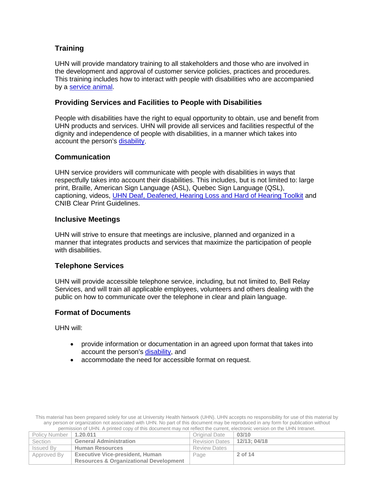## <span id="page-1-0"></span>**Training**

UHN will provide mandatory training to all stakeholders and those who are involved in the development and approval of customer service policies, practices and procedures. This training includes how to interact with people with disabilities who are accompanied by a [service animal.](#page-11-1)

## <span id="page-1-1"></span>**Providing Services and Facilities to People with Disabilities**

People with disabilities have the right to equal opportunity to obtain, use and benefit from UHN products and services. UHN will provide all services and facilities respectful of the dignity and independence of people with disabilities, in a manner which takes into account the person's [disability.](#page-11-0)

## <span id="page-1-2"></span>**Communication**

UHN service providers will communicate with people with disabilities in ways that respectfully takes into account their disabilities. This includes, but is not limited to: large print, Braille, American Sign Language (ASL), Quebec Sign Language (QSL), captioning, videos, [UHN Deaf, Deafened, Hearing Loss and Hard of Hearing Toolkit](http://documents.uhn.ca/sites/UHN/Policies/Administrative/General_Administration/1.20.011_att2.pdf) and CNIB Clear Print Guidelines.

## <span id="page-1-3"></span>**Inclusive Meetings**

UHN will strive to ensure that meetings are inclusive, planned and organized in a manner that integrates products and services that maximize the participation of people with disabilities.

## <span id="page-1-4"></span>**Telephone Services**

UHN will provide accessible telephone service, including, but not limited to, Bell Relay Services, and will train all applicable employees, volunteers and others dealing with the public on how to communicate over the telephone in clear and plain language.

## <span id="page-1-5"></span>**Format of Documents**

UHN will:

- provide information or documentation in an agreed upon format that takes into account the person's [disability,](#page-11-0) and
- accommodate the need for accessible format on request.

| Policy Number   1.20.011 |                                                   | Original Date                 | 03/10   |
|--------------------------|---------------------------------------------------|-------------------------------|---------|
| Section                  | <b>General Administration</b>                     | Revision Dates   12/13: 04/18 |         |
| Issued By                | <b>Human Resources</b>                            | <b>Review Dates</b>           |         |
| Approved By              | <b>Executive Vice-president, Human</b>            | Page                          | 2 of 14 |
|                          | <b>Resources &amp; Organizational Development</b> |                               |         |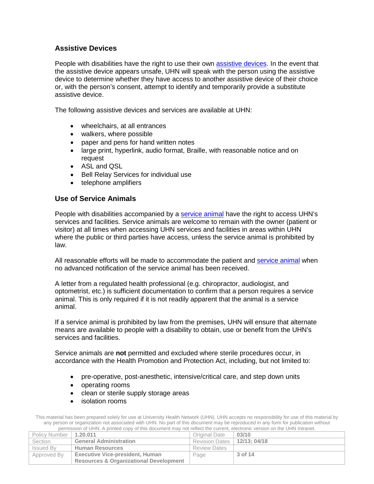## <span id="page-2-0"></span>**Assistive Devices**

People with disabilities have the right to use their own [assistive devices.](#page-10-1) In the event that the assistive device appears unsafe, UHN will speak with the person using the assistive device to determine whether they have access to another assistive device of their choice or, with the person's consent, attempt to identify and temporarily provide a substitute assistive device.

The following assistive devices and services are available at UHN:

- wheelchairs, at all entrances
- walkers, where possible
- paper and pens for hand written notes
- large print, hyperlink, audio format, Braille, with reasonable notice and on request
- ASL and QSL
- Bell Relay Services for individual use
- telephone amplifiers

## <span id="page-2-1"></span>**Use of Service Animals**

People with disabilities accompanied by a [service animal](#page-11-1) have the right to access UHN's services and facilities. Service animals are welcome to remain with the owner (patient or visitor) at all times when accessing UHN services and facilities in areas within UHN where the public or third parties have access, unless the service animal is prohibited by law.

All reasonable efforts will be made to accommodate the patient and [service animal](#page-11-1) when no advanced notification of the service animal has been received.

A letter from a regulated health professional (e.g. chiropractor, audiologist, and optometrist, etc.) is sufficient documentation to confirm that a person requires a service animal. This is only required if it is not readily apparent that the animal is a service animal.

If a service animal is prohibited by law from the premises, UHN will ensure that alternate means are available to people with a disability to obtain, use or benefit from the UHN's services and facilities.

Service animals are **not** permitted and excluded where sterile procedures occur, in accordance with the Health Promotion and Protection Act, including, but not limited to:

- pre-operative, post-anesthetic, intensive/critical care, and step down units
- operating rooms
- clean or sterile supply storage areas
- isolation rooms

| Policy Number   1.20.011 |                                                   | Original Date                 | 03/10   |
|--------------------------|---------------------------------------------------|-------------------------------|---------|
| Section                  | <b>General Administration</b>                     | Revision Dates   12/13; 04/18 |         |
| <b>Issued By</b>         | <b>Human Resources</b>                            | <b>Review Dates</b>           |         |
| Approved By              | <b>Executive Vice-president, Human</b>            | Page                          | 3 of 14 |
|                          | <b>Resources &amp; Organizational Development</b> |                               |         |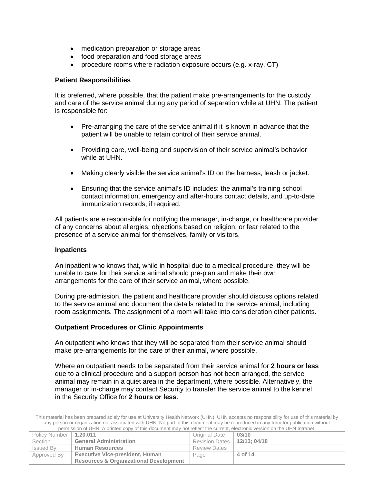- medication preparation or storage areas
- food preparation and food storage areas
- procedure rooms where radiation exposure occurs (e.g. x-ray, CT)

#### **Patient Responsibilities**

It is preferred, where possible, that the patient make pre-arrangements for the custody and care of the service animal during any period of separation while at UHN. The patient is responsible for:

- Pre-arranging the care of the service animal if it is known in advance that the patient will be unable to retain control of their service animal.
- Providing care, well-being and supervision of their service animal's behavior while at UHN.
- Making clearly visible the service animal's ID on the harness, leash or jacket.
- Ensuring that the service animal's ID includes: the animal's training school contact information, emergency and after-hours contact details, and up-to-date immunization records, if required.

All patients are e responsible for notifying the manager, in-charge, or healthcare provider of any concerns about allergies, objections based on religion, or fear related to the presence of a service animal for themselves, family or visitors.

#### **Inpatients**

An inpatient who knows that, while in hospital due to a medical procedure, they will be unable to care for their service animal should pre-plan and make their own arrangements for the care of their service animal, where possible.

During pre-admission, the patient and healthcare provider should discuss options related to the service animal and document the details related to the service animal, including room assignments. The assignment of a room will take into consideration other patients.

#### **Outpatient Procedures or Clinic Appointments**

An outpatient who knows that they will be separated from their service animal should make pre-arrangements for the care of their animal, where possible.

Where an outpatient needs to be separated from their service animal for **2 hours or less** due to a clinical procedure and a support person has not been arranged, the service animal may remain in a quiet area in the department, where possible. Alternatively, the manager or in-charge may contact Security to transfer the service animal to the kennel in the Security Office for **2 hours or less**.

| Policy Number   1.20.011 |                                                   | Original Date                 | 03/10   |
|--------------------------|---------------------------------------------------|-------------------------------|---------|
| Section                  | <b>General Administration</b>                     | Revision Dates   12/13; 04/18 |         |
| Issued By                | <b>Human Resources</b>                            | <b>Review Dates</b>           |         |
| Approved By              | <b>Executive Vice-president, Human</b>            | Page                          | 4 of 14 |
|                          | <b>Resources &amp; Organizational Development</b> |                               |         |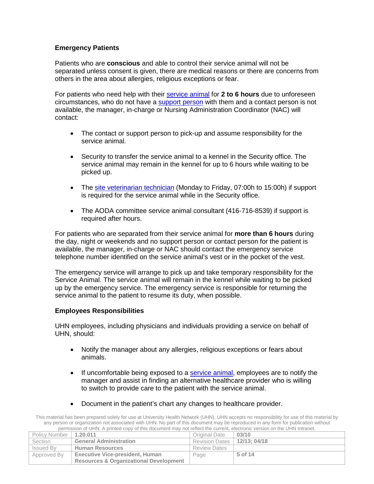### **Emergency Patients**

Patients who are **conscious** and able to control their service animal will not be separated unless consent is given, there are medical reasons or there are concerns from others in the area about allergies, religious exceptions or fear.

For patients who need help with their [service animal](#page-11-1) for **2 to 6 hours** due to unforeseen circumstances, who do not have a [support person](#page-11-2) with them and a contact person is not available, the manager, in-charge or Nursing Administration Coordinator (NAC) will contact:

- The contact or support person to pick-up and assume responsibility for the service animal.
- Security to transfer the service animal to a kennel in the Security office. The service animal may remain in the kennel for up to 6 hours while waiting to be picked up.
- The [site veterinarian technician](#page-6-0) (Monday to Friday, 07:00h to 15:00h) if support is required for the service animal while in the Security office.
- The AODA committee service animal consultant (416-716-8539) if support is required after hours.

For patients who are separated from their service animal for **more than 6 hours** during the day, night or weekends and no support person or contact person for the patient is available, the manager, in-charge or NAC should contact the emergency service telephone number identified on the service animal's vest or in the pocket of the vest.

The emergency service will arrange to pick up and take temporary responsibility for the Service Animal. The service animal will remain in the kennel while waiting to be picked up by the emergency service. The emergency service is responsible for returning the service animal to the patient to resume its duty, when possible.

#### **Employees Responsibilities**

UHN employees, including physicians and individuals providing a service on behalf of UHN, should:

- Notify the manager about any allergies, religious exceptions or fears about animals.
- If uncomfortable being exposed to a **service animal**, employees are to notify the manager and assist in finding an alternative healthcare provider who is willing to switch to provide care to the patient with the service animal.
- Document in the patient's chart any changes to healthcare provider.

| Policy Number   1.20.011 |                                                   | Original Date                 | 03/10   |
|--------------------------|---------------------------------------------------|-------------------------------|---------|
| <b>Section</b>           | <b>General Administration</b>                     | Revision Dates   12/13; 04/18 |         |
| <b>Issued By</b>         | <b>Human Resources</b>                            | <b>Review Dates</b>           |         |
| Approved By              | <b>Executive Vice-president, Human</b>            | Page                          | 5 of 14 |
|                          | <b>Resources &amp; Organizational Development</b> |                               |         |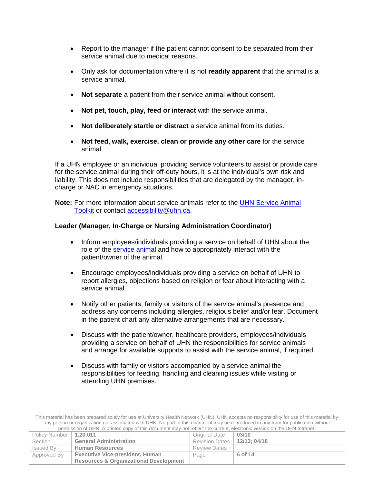- Report to the manager if the patient cannot consent to be separated from their service animal due to medical reasons.
- Only ask for documentation where it is not **readily apparent** that the animal is a service animal.
- **Not separate** a patient from their service animal without consent.
- **Not pet, touch, play, feed or interact** with the service animal.
- **Not deliberately startle or distract** a service animal from its duties.
- **Not feed, walk, exercise, clean or provide any other care** for the service animal.

If a UHN employee or an individual providing service volunteers to assist or provide care for the service animal during their off-duty hours, it is at the individual's own risk and liability. This does not include responsibilities that are delegated by the manager, incharge or NAC in emergency situations.

**Note:** For more information about service animals refer to the [UHN Service Animal](http://documents.uhn.ca/sites/UHN/Policies/Administrative/General_Administration/1.20.011_att1.pdf)  [Toolkit](http://documents.uhn.ca/sites/UHN/Policies/Administrative/General_Administration/1.20.011_att1.pdf) or contact [accessibility@uhn.ca.](mailto:accessibility@uhn.ca)

#### **Leader (Manager, In-Charge or Nursing Administration Coordinator)**

- Inform employees/individuals providing a service on behalf of UHN about the role of the [service animal](#page-11-1) and how to appropriately interact with the patient/owner of the animal.
- Encourage employees/individuals providing a service on behalf of UHN to report allergies, objections based on religion or fear about interacting with a service animal.
- Notify other patients, family or visitors of the service animal's presence and address any concerns including allergies, religious belief and/or fear. Document in the patient chart any alternative arrangements that are necessary.
- Discuss with the patient/owner, healthcare providers, employees/individuals providing a service on behalf of UHN the responsibilities for service animals and arrange for available supports to assist with the service animal, if required.
- Discuss with family or visitors accompanied by a service animal the responsibilities for feeding, handling and cleaning issues while visiting or attending UHN premises.

This material has been prepared solely for use at University Health Network (UHN). UHN accepts no responsibility for use of this material by any person or organization not associated with UHN. No part of this document may be reproduced in any form for publication without permission of UHN. A printed copy of this document may not reflect the current, electronic version on the UHN Intranet.

| Policy Number   1.20.011 |                                                   | Original Date                 | 03/10   |
|--------------------------|---------------------------------------------------|-------------------------------|---------|
| Section                  | <b>General Administration</b>                     | Revision Dates   12/13: 04/18 |         |
| Issued By                | <b>Human Resources</b>                            | <b>Review Dates</b>           |         |
| Approved By              | <b>Executive Vice-president, Human</b>            | Page                          | 6 of 14 |
|                          | <b>Resources &amp; Organizational Development</b> |                               |         |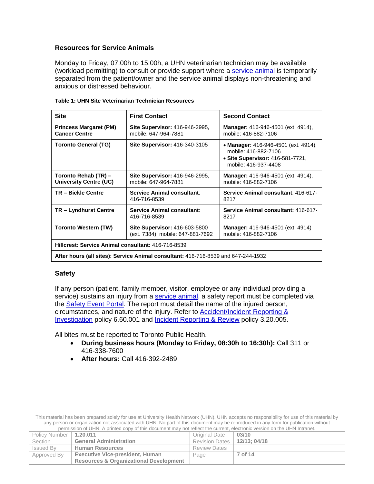#### <span id="page-6-0"></span>**Resources for Service Animals**

Monday to Friday, 07:00h to 15:00h, a UHN veterinarian technician may be available (workload permitting) to consult or provide support where a [service animal](#page-11-1) is temporarily separated from the patient/owner and the service animal displays non-threatening and anxious or distressed behaviour.

| <b>Site</b>                                                                       | <b>First Contact</b>                                               | <b>Second Contact</b>                                                                                                    |  |
|-----------------------------------------------------------------------------------|--------------------------------------------------------------------|--------------------------------------------------------------------------------------------------------------------------|--|
| <b>Princess Margaret (PM)</b><br><b>Cancer Centre</b>                             | Site Supervisor: 416-946-2995,<br>mobile: 647-964-7881             | <b>Manager:</b> 416-946-4501 (ext. 4914).<br>mobile: 416-882-7106                                                        |  |
| <b>Toronto General (TG)</b>                                                       | <b>Site Supervisor: 416-340-3105</b>                               | • Manager: 416-946-4501 (ext. 4914).<br>mobile: 416-882-7106<br>• Site Supervisor: 416-581-7721,<br>mobile: 416-937-4408 |  |
| Toronto Rehab (TR) -<br>University Centre (UC)                                    | <b>Site Supervisor: 416-946-2995,</b><br>mobile: 647-964-7881      | <b>Manager:</b> 416-946-4501 (ext. 4914),<br>mobile: 416-882-7106                                                        |  |
| <b>TR-Bickle Centre</b>                                                           | Service Animal consultant:<br>416-716-8539                         | Service Animal consultant: 416-617-<br>8217                                                                              |  |
| TR - Lyndhurst Centre                                                             | <b>Service Animal consultant:</b><br>416-716-8539                  | Service Animal consultant: 416-617-<br>8217                                                                              |  |
| <b>Toronto Western (TW)</b>                                                       | Site Supervisor: 416-603-5800<br>(ext. 7384), mobile: 647-881-7692 | <b>Manager:</b> 416-946-4501 (ext. 4914)<br>mobile: 416-882-7106                                                         |  |
| Hillcrest: Service Animal consultant: 416-716-8539                                |                                                                    |                                                                                                                          |  |
| After hours (all sites): Service Animal consultant: 416-716-8539 and 647-244-1932 |                                                                    |                                                                                                                          |  |

|  | Table 1: UHN Site Veterinarian Technician Resources |  |
|--|-----------------------------------------------------|--|
|  |                                                     |  |

#### **Safety**

If any person (patient, family member, visitor, employee or any individual providing a service) sustains an injury from a [service animal,](#page-11-1) a safety report must be completed via the [Safety Event Portal.](http://intranet.uhn.ca/departments/clinical_risk_management/safety_portal.asp) The report must detail the name of the injured person, circumstances, and nature of the injury. Refer to **Accident/Incident Reporting &** [Investigation](http://documents.uhn.ca/sites/uhn/policies/Occupational_Health_and_Safety/Reporting/uhnflv028200-doc.pdf) policy 6.60.001 and [Incident Reporting & Review](http://documents.uhn.ca/sites/uhn/Policies/clinical/medical-legal-clinical_ethics/3.20.005-doc.pdf) policy 3.20.005.

All bites must be reported to Toronto Public Health.

- **During business hours (Monday to Friday, 08:30h to 16:30h):** Call 311 or 416-338-7600
- **After hours:** Call 416-392-2489

| Policy Number | 1.20.011                                          | Original Date                 | 03/10   |
|---------------|---------------------------------------------------|-------------------------------|---------|
| Section       | <b>General Administration</b>                     | Revision Dates   12/13: 04/18 |         |
| Issued By     | <b>Human Resources</b>                            | <b>Review Dates</b>           |         |
| Approved By   | <b>Executive Vice-president, Human</b>            | Page                          | 7 of 14 |
|               | <b>Resources &amp; Organizational Development</b> |                               |         |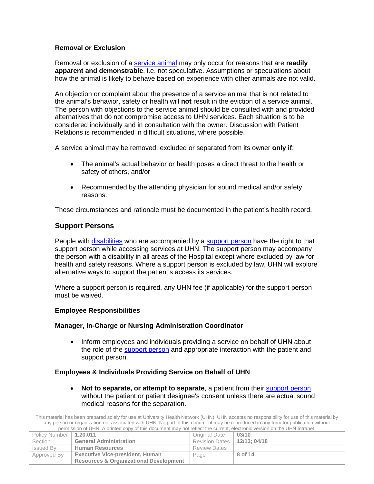#### **Removal or Exclusion**

Removal or exclusion of a [service animal](#page-11-1) may only occur for reasons that are **readily apparent and demonstrable**, i.e. not speculative. Assumptions or speculations about how the animal is likely to behave based on experience with other animals are not valid.

An objection or complaint about the presence of a service animal that is not related to the animal's behavior, safety or health will **not** result in the eviction of a service animal. The person with objections to the service animal should be consulted with and provided alternatives that do not compromise access to UHN services. Each situation is to be considered individually and in consultation with the owner. Discussion with Patient Relations is recommended in difficult situations, where possible.

A service animal may be removed, excluded or separated from its owner **only if**:

- The animal's actual behavior or health poses a direct threat to the health or safety of others, and/or
- Recommended by the attending physician for sound medical and/or safety reasons.

These circumstances and rationale must be documented in the patient's health record.

#### <span id="page-7-0"></span>**Support Persons**

People with [disabilities](#page-11-0) who are accompanied by a [support person](#page-11-2) have the right to that support person while accessing services at UHN. The support person may accompany the person with a disability in all areas of the Hospital except where excluded by law for health and safety reasons. Where a support person is excluded by law, UHN will explore alternative ways to support the patient's access its services.

Where a support person is required, any UHN fee (if applicable) for the support person must be waived.

#### **Employee Responsibilities**

#### **Manager, In-Charge or Nursing Administration Coordinator**

• Inform employees and individuals providing a service on behalf of UHN about the role of the **support person** and appropriate interaction with the patient and support person.

#### **Employees & Individuals Providing Service on Behalf of UHN**

• **Not to separate, or attempt to separate**, a patient from their [support person](#page-11-2) without the patient or patient designee's consent unless there are actual sound medical reasons for the separation.

| Policy Number   1.20.011 |                                                   | Original Date                 | 03/10   |
|--------------------------|---------------------------------------------------|-------------------------------|---------|
| Section                  | <b>General Administration</b>                     | Revision Dates   12/13; 04/18 |         |
| Issued By                | <b>Human Resources</b>                            | <b>Review Dates</b>           |         |
| Approved By              | <b>Executive Vice-president, Human</b>            | Page                          | 8 of 14 |
|                          | <b>Resources &amp; Organizational Development</b> |                               |         |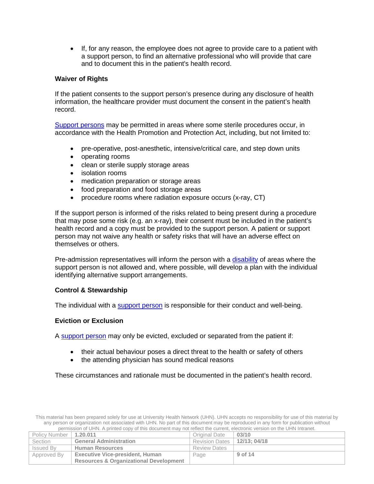• If, for any reason, the employee does not agree to provide care to a patient with a support person, to find an alternative professional who will provide that care and to document this in the patient's health record.

#### **Waiver of Rights**

If the patient consents to the support person's presence during any disclosure of health information, the healthcare provider must document the consent in the patient's health record.

[Support persons](#page-11-2) may be permitted in areas where some sterile procedures occur, in accordance with the Health Promotion and Protection Act, including, but not limited to:

- pre-operative, post-anesthetic, intensive/critical care, and step down units
- operating rooms
- clean or sterile supply storage areas
- isolation rooms
- medication preparation or storage areas
- food preparation and food storage areas
- procedure rooms where radiation exposure occurs (x-ray, CT)

If the support person is informed of the risks related to being present during a procedure that may pose some risk (e.g. an x-ray), their consent must be included in the patient's health record and a copy must be provided to the support person. A patient or support person may not waive any health or safety risks that will have an adverse effect on themselves or others.

Pre-admission representatives will inform the person with a [disability](#page-11-0) of areas where the support person is not allowed and, where possible, will develop a plan with the individual identifying alternative support arrangements.

#### **Control & Stewardship**

The individual with a **support person** is responsible for their conduct and well-being.

#### **Eviction or Exclusion**

A [support person](#page-11-2) may only be evicted, excluded or separated from the patient if:

- their actual behaviour poses a direct threat to the health or safety of others
- the attending physician has sound medical reasons

These circumstances and rationale must be documented in the patient's health record.

| Policy Number   1.20.011 |                                                   | Original Date                 | 03/10   |
|--------------------------|---------------------------------------------------|-------------------------------|---------|
| Section                  | <b>General Administration</b>                     | Revision Dates   12/13; 04/18 |         |
| Issued By                | <b>Human Resources</b>                            | <b>Review Dates</b>           |         |
| Approved By              | <b>Executive Vice-president, Human</b>            | Page                          | 9 of 14 |
|                          | <b>Resources &amp; Organizational Development</b> |                               |         |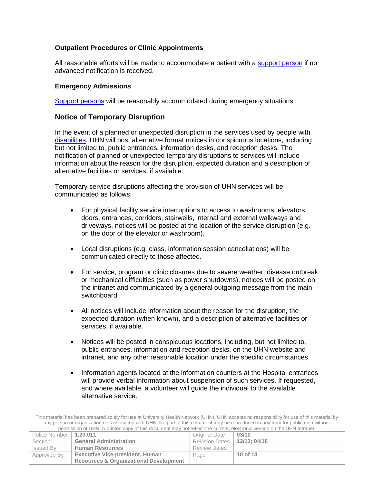#### **Outpatient Procedures or Clinic Appointments**

All reasonable efforts will be made to accommodate a patient with a [support person](#page-11-2) if no advanced notification is received.

#### **Emergency Admissions**

[Support persons](#page-11-2) will be reasonably accommodated during emergency situations.

#### <span id="page-9-0"></span>**Notice of Temporary Disruption**

In the event of a planned or unexpected disruption in the services used by people with [disabilities,](#page-11-0) UHN will post alternative format notices in conspicuous locations, including but not limited to, public entrances, information desks, and reception desks. The notification of planned or unexpected temporary disruptions to services will include information about the reason for the disruption, expected duration and a description of alternative facilities or services, if available.

Temporary service disruptions affecting the provision of UHN services will be communicated as follows:

- For physical facility service interruptions to access to washrooms, elevators, doors, entrances, corridors, stairwells, internal and external walkways and driveways, notices will be posted at the location of the service disruption (e.g. on the door of the elevator or washroom).
- Local disruptions (e.g. class, information session cancellations) will be communicated directly to those affected.
- For service, program or clinic closures due to severe weather, disease outbreak or mechanical difficulties (such as power shutdowns), notices will be posted on the intranet and communicated by a general outgoing message from the main switchboard.
- All notices will include information about the reason for the disruption, the expected duration (when known), and a description of alternative facilities or services, if available.
- Notices will be posted in conspicuous locations, including, but not limited to, public entrances, information and reception desks, on the UHN website and intranet, and any other reasonable location under the specific circumstances.
- Information agents located at the information counters at the Hospital entrances will provide verbal information about suspension of such services. If requested, and where available, a volunteer will guide the individual to the available alternative service.

This material has been prepared solely for use at University Health Network (UHN). UHN accepts no responsibility for use of this material by any person or organization not associated with UHN. No part of this document may be reproduced in any form for publication without permission of UHN. A printed copy of this document may not reflect the current, electronic version on the UHN Intranet.

| Policy Number   1.20.011 |                                                   | Original Date                 | 03/10    |
|--------------------------|---------------------------------------------------|-------------------------------|----------|
| Section                  | <b>General Administration</b>                     | Revision Dates   12/13; 04/18 |          |
| Issued By                | <b>Human Resources</b>                            | <b>Review Dates</b>           |          |
| Approved By              | <b>Executive Vice-president, Human</b>            | Page                          | 10 of 14 |
|                          | <b>Resources &amp; Organizational Development</b> |                               |          |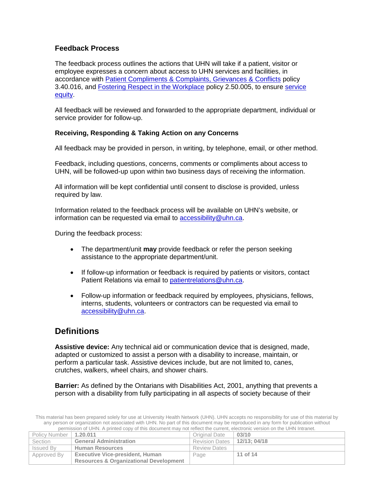## <span id="page-10-0"></span>**Feedback Process**

The feedback process outlines the actions that UHN will take if a patient, visitor or employee expresses a concern about access to UHN services and facilities, in accordance with [Patient Compliments & Complaints, Grievances & Conflicts](http://documents.uhn.ca/sites/uhn/Policies/Clinical/Patient_Management/3.40.016.pdf) policy 3.40.016, and [Fostering Respect in the Workplace](http://documents.uhn.ca/sites/uhn/Policies/human_resources/employee_relations/2.50.005-doc.pdf) policy 2.50.005, to ensure [service](#page-11-3)  [equity.](#page-11-3)

All feedback will be reviewed and forwarded to the appropriate department, individual or service provider for follow-up.

#### **Receiving, Responding & Taking Action on any Concerns**

All feedback may be provided in person, in writing, by telephone, email, or other method.

Feedback, including questions, concerns, comments or compliments about access to UHN, will be followed-up upon within two business days of receiving the information.

All information will be kept confidential until consent to disclose is provided, unless required by law.

Information related to the feedback process will be available on UHN's website, or information can be requested via email to [accessibility@uhn.ca.](mailto:accessibility@uhn.ca)

During the feedback process:

- The department/unit **may** provide feedback or refer the person seeking assistance to the appropriate department/unit.
- If follow-up information or feedback is required by patients or visitors, contact Patient Relations via email to [patientrelations@uhn.ca.](mailto:patientrelations@uhn.ca)
- Follow-up information or feedback required by employees, physicians, fellows, interns, students, volunteers or contractors can be requested via email to [accessibility@uhn.ca.](mailto:accessibility@uhn.ca)

## **Definitions**

<span id="page-10-1"></span>**Assistive device:** Any technical aid or communication device that is designed, made, adapted or customized to assist a person with a disability to increase, maintain, or perform a particular task. Assistive devices include, but are not limited to, canes, crutches, walkers, wheel chairs, and shower chairs.

<span id="page-10-2"></span>**Barrier:** As defined by the Ontarians with Disabilities Act, 2001, anything that prevents a person with a disability from fully participating in all aspects of society because of their

| Policy Number   1.20.011 |                                                   | Original Date         | 03/10       |
|--------------------------|---------------------------------------------------|-----------------------|-------------|
| Section                  | <b>General Administration</b>                     | <b>Revision Dates</b> | 12/13:04/18 |
| Issued By                | <b>Human Resources</b>                            | <b>Review Dates</b>   |             |
| Approved By              | <b>Executive Vice-president, Human</b>            | Page                  | 11 of 14    |
|                          | <b>Resources &amp; Organizational Development</b> |                       |             |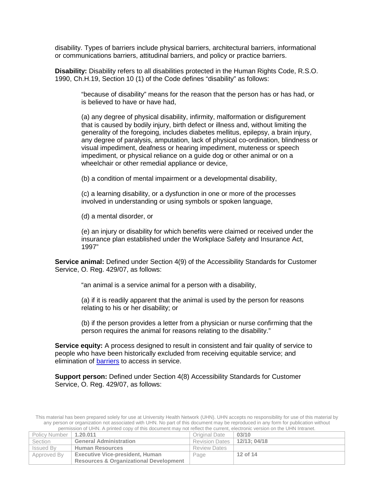disability. Types of barriers include physical barriers, architectural barriers, informational or communications barriers, attitudinal barriers, and policy or practice barriers.

<span id="page-11-0"></span>**Disability:** Disability refers to all disabilities protected in the Human Rights Code, R.S.O. 1990, Ch.H.19, Section 10 (1) of the Code defines "disability" as follows:

"because of disability" means for the reason that the person has or has had, or is believed to have or have had,

(a) any degree of physical disability, infirmity, malformation or disfigurement that is caused by bodily injury, birth defect or illness and, without limiting the generality of the foregoing, includes diabetes mellitus, epilepsy, a brain injury, any degree of paralysis, amputation, lack of physical co-ordination, blindness or visual impediment, deafness or hearing impediment, muteness or speech impediment, or physical reliance on a guide dog or other animal or on a wheelchair or other remedial appliance or device,

(b) a condition of mental impairment or a developmental disability,

(c) a learning disability, or a dysfunction in one or more of the processes involved in understanding or using symbols or spoken language,

(d) a mental disorder, or

(e) an injury or disability for which benefits were claimed or received under the insurance plan established under the Workplace Safety and Insurance Act, 1997"

<span id="page-11-1"></span>**Service animal:** Defined under Section 4(9) of the Accessibility Standards for Customer Service, O. Reg. 429/07, as follows:

"an animal is a service animal for a person with a disability,

(a) if it is readily apparent that the animal is used by the person for reasons relating to his or her disability; or

(b) if the person provides a letter from a physician or nurse confirming that the person requires the animal for reasons relating to the disability."

<span id="page-11-3"></span>**Service equity:** A process designed to result in consistent and fair quality of service to people who have been historically excluded from receiving equitable service; and elimination of [barriers](#page-10-2) to access in service.

<span id="page-11-2"></span>**Support person:** Defined under Section 4(8) Accessibility Standards for Customer Service, O. Reg. 429/07, as follows:

| Policy Number   1.20.011 |                                                   | Original Date                 | 03/10    |
|--------------------------|---------------------------------------------------|-------------------------------|----------|
| Section                  | <b>General Administration</b>                     | Revision Dates   12/13; 04/18 |          |
| Issued By                | <b>Human Resources</b>                            | <b>Review Dates</b>           |          |
| 'Approved By             | <b>Executive Vice-president, Human</b>            | Page                          | 12 of 14 |
|                          | <b>Resources &amp; Organizational Development</b> |                               |          |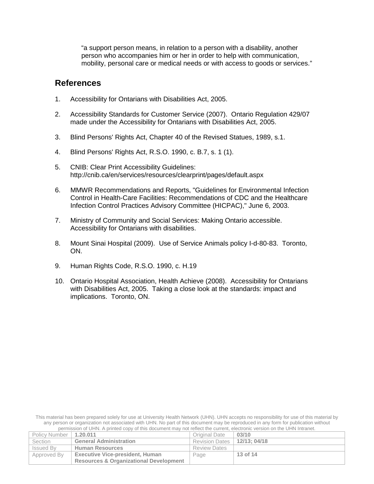"a support person means, in relation to a person with a disability, another person who accompanies him or her in order to help with communication, mobility, personal care or medical needs or with access to goods or services."

## **References**

- 1. Accessibility for Ontarians with Disabilities Act, 2005.
- 2. Accessibility Standards for Customer Service (2007). Ontario Regulation 429/07 made under the Accessibility for Ontarians with Disabilities Act, 2005.
- 3. Blind Persons' Rights Act, Chapter 40 of the Revised Statues, 1989, s.1.
- 4. Blind Persons' Rights Act, R.S.O. 1990, c. B.7, s. 1 (1).
- 5. CNIB: Clear Print Accessibility Guidelines: http://cnib.ca/en/services/resources/clearprint/pages/default.aspx
- 6. MMWR Recommendations and Reports, "Guidelines for Environmental Infection Control in Health-Care Facilities: Recommendations of CDC and the Healthcare Infection Control Practices Advisory Committee (HICPAC)," June 6, 2003.
- 7. Ministry of Community and Social Services: Making Ontario accessible. Accessibility for Ontarians with disabilities.
- 8. Mount Sinai Hospital (2009). Use of Service Animals policy I-d-80-83. Toronto, ON.
- 9. Human Rights Code, R.S.O. 1990, c. H.19
- 10. Ontario Hospital Association, Health Achieve (2008). Accessibility for Ontarians with Disabilities Act, 2005. Taking a close look at the standards: impact and implications. Toronto, ON.

| Policy Number    | 1.20.011                                          | Original Date         | 03/10       |
|------------------|---------------------------------------------------|-----------------------|-------------|
| Section          | <b>General Administration</b>                     | <b>Revision Dates</b> | 12/13:04/18 |
| <b>Issued By</b> | <b>Human Resources</b>                            | <b>Review Dates</b>   |             |
| Approved By      | <b>Executive Vice-president, Human</b>            | Page                  | 13 of 14    |
|                  | <b>Resources &amp; Organizational Development</b> |                       |             |